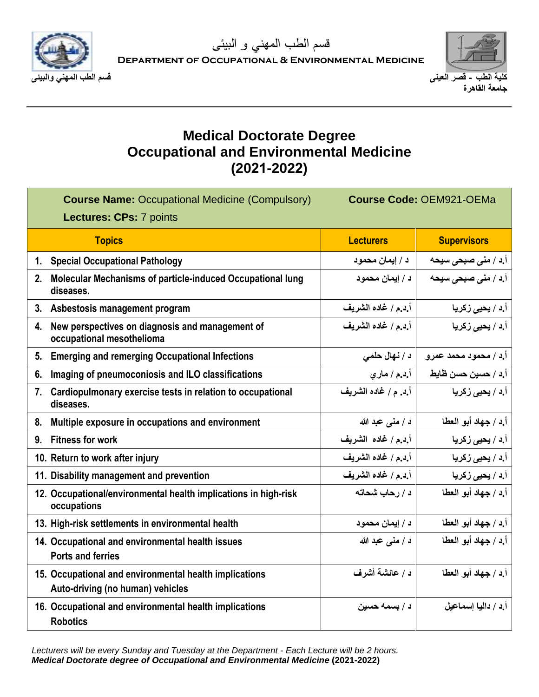

**Department of Occupational & Environmental Medicine**



## **Medical Doctorate Degree Occupational and Environmental Medicine (2021-2022)**

| <b>Course Name: Occupational Medicine (Compulsory)</b><br><b>Lectures: CPs: 7 points</b>   | <b>Course Code: OEM921-OEMa</b> |                            |
|--------------------------------------------------------------------------------------------|---------------------------------|----------------------------|
| <b>Topics</b>                                                                              | <b>Lecturers</b>                | <b>Supervisors</b>         |
| <b>Special Occupational Pathology</b><br>1.                                                | د / إيمان محمود                 | <b>أ.د / منی صبحی سیحه</b> |
| Molecular Mechanisms of particle-induced Occupational lung<br>2.<br>diseases.              | د / إيمان محمود                 | أ.د / منى صبحى سيحه        |
| 3.<br>Asbestosis management program                                                        | أ.د.م / غاده الشريف             | أ.د / يحي <i>ى</i> زكريا   |
| New perspectives on diagnosis and management of<br>4.<br>occupational mesothelioma         | أ.د.م / غاده الشريف             | أ.د / يحيى زكريا           |
| <b>Emerging and remerging Occupational Infections</b><br>5.                                | د / نهال حلمي                   | أ.د / محمود محمد عمرو      |
| Imaging of pneumoconiosis and ILO classifications<br>6.                                    | أ.د.م / ماري                    | أ.د / حسين حسن ظايط        |
| Cardiopulmonary exercise tests in relation to occupational<br>7.<br>diseases.              | أ إد. م / غاده الشريف           | أ.د / يحي <i>ى</i> زكريا   |
| Multiple exposure in occupations and environment<br>8.                                     | د / منبي عبد الله               | أ.د / جهاد أبو العطا       |
| <b>Fitness for work</b><br>9.                                                              | أ.د.م / غاده الشريف             | أ.د / يحي <i>ى</i> زكريا   |
| 10. Return to work after injury                                                            | أ.د.م / غاده الشريف             | أ.د / يحي <i>ى</i> زكريا   |
| 11. Disability management and prevention                                                   | أ.د.م / غاده الشريف             | أ.د / يحي <i>ى</i> زكريا   |
| 12. Occupational/environmental health implications in high-risk<br>occupations             | د / رحاب شحاته                  | أ.د / جهاد أبو العطا       |
| 13. High-risk settlements in environmental health                                          | د / إيمان محمود                 | أ.د / جهاد أبو العطا       |
| 14. Occupational and environmental health issues<br><b>Ports and ferries</b>               | د / منى عبد الله                | أ.د / جهاد أبو العطا       |
| 15. Occupational and environmental health implications<br>Auto-driving (no human) vehicles | د / عائشة أشرف                  | أ.د / جهاد أبو العطا       |
| 16. Occupational and environmental health implications<br><b>Robotics</b>                  | د / بسمه حسين                   | أ د / داليا اسماعيل        |

*Lecturers will be every Sunday and Tuesday at the Department - Each Lecture will be 2 hours. Medical Doctorate degree of Occupational and Environmental Medicine* **(2021-2022)**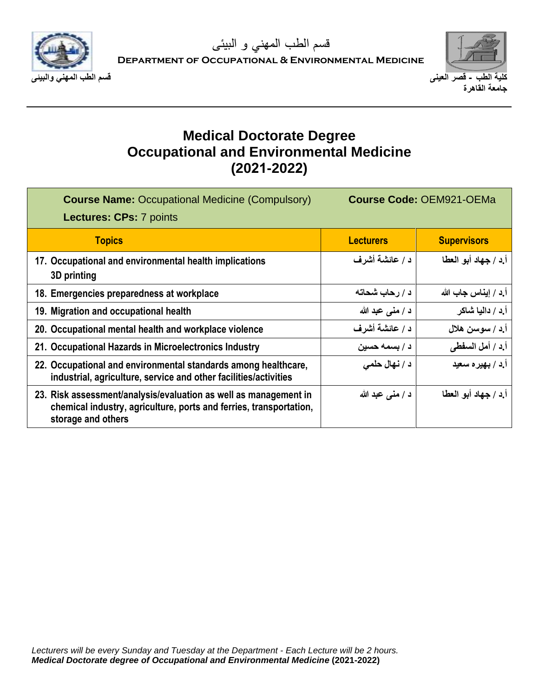

**Department of Occupational & Environmental Medicine**



## **Medical Doctorate Degree Occupational and Environmental Medicine (2021-2022)**

| <b>Course Name: Occupational Medicine (Compulsory)</b><br><b>Lectures: CPs: 7 points</b>                                                                     | <b>Course Code: OEM921-OEMa</b> |                      |
|--------------------------------------------------------------------------------------------------------------------------------------------------------------|---------------------------------|----------------------|
| <b>Topics</b>                                                                                                                                                | <b>Lecturers</b>                | <b>Supervisors</b>   |
| 17. Occupational and environmental health implications<br>3D printing                                                                                        | د / عائشة أشرف                  | أ.د / جهاد أبو العطا |
| 18. Emergencies preparedness at workplace                                                                                                                    | د / رحاب شحاته                  | أ د / إيناس جاب الله |
| 19. Migration and occupational health                                                                                                                        | د / منبي عبد الله               | أ د / داليا شاكر     |
| 20. Occupational mental health and workplace violence                                                                                                        | د / عائشة أشرف                  | أ.د / سوسن هلال      |
| 21. Occupational Hazards in Microelectronics Industry                                                                                                        | د / بسمه حسين                   | أ.د / أمل السفطي     |
| 22. Occupational and environmental standards among healthcare,<br>industrial, agriculture, service and other facilities/activities                           | د / نهال حلمي                   | أ.د / بهير ه سعيد    |
| 23. Risk assessment/analysis/evaluation as well as management in<br>chemical industry, agriculture, ports and ferries, transportation,<br>storage and others | د / منبي عبد الله               | أ د / جهاد أبو العطا |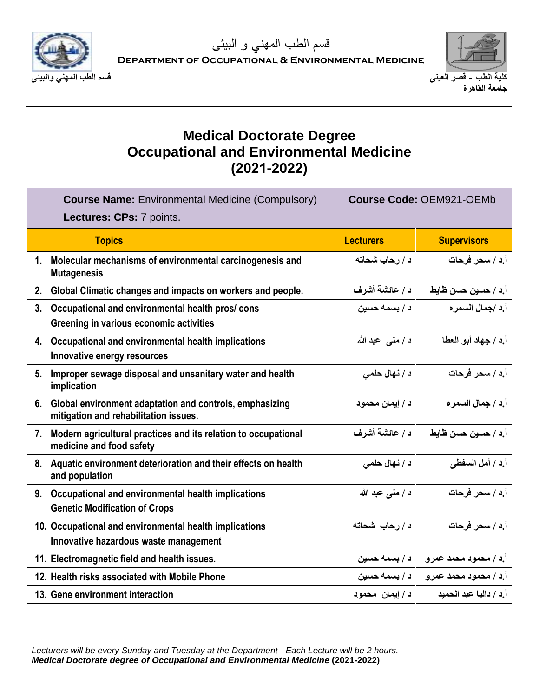

**Department of Occupational & Environmental Medicine**



## **Medical Doctorate Degree Occupational and Environmental Medicine (2021-2022)**

|                | <b>Course Name: Environmental Medicine (Compulsory)</b><br>Lectures: CPs: 7 points.              | <b>Course Code: OEM921-OEMb</b> |                        |
|----------------|--------------------------------------------------------------------------------------------------|---------------------------------|------------------------|
|                | <b>Topics</b>                                                                                    | <b>Lecturers</b>                | <b>Supervisors</b>     |
| 1 <sub>1</sub> | Molecular mechanisms of environmental carcinogenesis and<br><b>Mutagenesis</b>                   | د / رحاب شحاته                  | أ.د / سحر فرحات        |
| 2.             | Global Climatic changes and impacts on workers and people.                                       | د / عائشة أشرف                  | أ.د / حسين حسن ظايط    |
| 3.             | Occupational and environmental health pros/cons<br>Greening in various economic activities       | د / بسمه حسين                   | أ د /جمال السمر ه      |
| 4.             | Occupational and environmental health implications<br>Innovative energy resources                | د / منى عبد الله                | أ.د / جهاد أبو العطا   |
| 5.             | Improper sewage disposal and unsanitary water and health<br>implication                          | د / نهال حلمي                   | أ.د / سحر فرحات        |
| 6.             | Global environment adaptation and controls, emphasizing<br>mitigation and rehabilitation issues. | د / إيمان محمود                 | أ د / جمال السمر ه     |
| 7.             | Modern agricultural practices and its relation to occupational<br>medicine and food safety       | د / عائشة أشرف                  | أ.د / حسين حسن ظايط    |
|                | 8. Aquatic environment deterioration and their effects on health<br>and population               | د / نهال حلمي                   | أ.د / أمل السفطي       |
| 9.             | Occupational and environmental health implications<br><b>Genetic Modification of Crops</b>       | د / منبي عبد الله               | أ.د / سحر فرحات        |
|                | 10. Occupational and environmental health implications<br>Innovative hazardous waste management  | د/رحاب شحاته                    | أ.د / سحر فرحات        |
|                | 11. Electromagnetic field and health issues.                                                     | د / بسمه حسين                   | أ.د / محمود محمد عمرو  |
|                | 12. Health risks associated with Mobile Phone                                                    | د / بسمه حسين                   | أ.د / محمود محمد عمرو  |
|                | 13. Gene environment interaction                                                                 | د / ايمان محمود                 | أرد / داليا عبد الحميد |